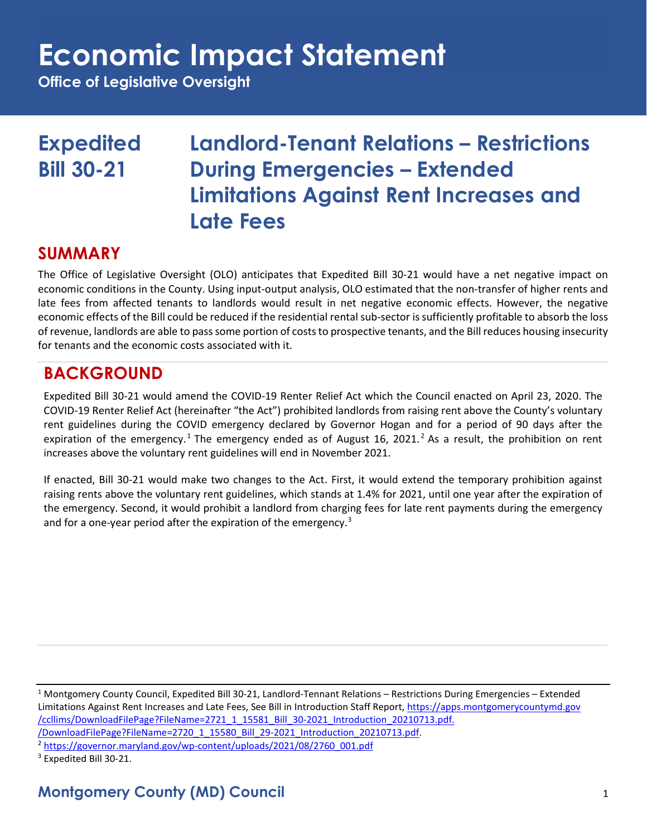**Office of Legislative Oversight**

### **Expedited Landlord-Tenant Relations – Restrictions Bill 30-21 During Emergencies – Extended Limitations Against Rent Increases and Late Fees**

#### **SUMMARY**

The Office of Legislative Oversight (OLO) anticipates that Expedited Bill 30-21 would have a net negative impact on economic conditions in the County. Using input-output analysis, OLO estimated that the non-transfer of higher rents and late fees from affected tenants to landlords would result in net negative economic effects. However, the negative economic effects of the Bill could be reduced if the residential rental sub-sector is sufficiently profitable to absorb the loss of revenue, landlords are able to pass some portion of costs to prospective tenants, and the Bill reduces housing insecurity for tenants and the economic costs associated with it.

### **BACKGROUND**

Expedited Bill 30-21 would amend the COVID-19 Renter Relief Act which the Council enacted on April 23, 2020. The COVID-19 Renter Relief Act (hereinafter "the Act") prohibited landlords from raising rent above the County's voluntary rent guidelines during the COVID emergency declared by Governor Hogan and for a period of 90 days after the expiration of the emergency.<sup>[1](#page-0-0)</sup> The emergency ended as of August 16, [2](#page-0-1)021.<sup>2</sup> As a result, the prohibition on rent increases above the voluntary rent guidelines will end in November 2021.

If enacted, Bill 30-21 would make two changes to the Act. First, it would extend the temporary prohibition against raising rents above the voluntary rent guidelines, which stands at 1.4% for 2021, until one year after the expiration of the emergency. Second, it would prohibit a landlord from charging fees for late rent payments during the emergency and for a one-year period after the expiration of the emergency.<sup>3</sup>

<span id="page-0-0"></span> $1$  Montgomery County Council, Expedited Bill 30-21, Landlord-Tennant Relations – Restrictions During Emergencies – Extended Limitations Against Rent Increases and Late Fees, See Bill in Introduction Staff Report[, https://apps.montgomerycountymd.gov](https://apps.montgomerycountymd.gov/ccllims/DownloadFilePage?FileName=2721_1_15581_Bill_30-2021_Introduction_20210713.pdf.%20/DownloadFilePage?FileName=2720_1_15580_Bill_29-2021_Introduction_20210713.pdf) [/ccllims/DownloadFilePage?FileName=2721\\_1\\_15581\\_Bill\\_30-2021\\_Introduction\\_20210713.pdf.](https://apps.montgomerycountymd.gov/ccllims/DownloadFilePage?FileName=2721_1_15581_Bill_30-2021_Introduction_20210713.pdf.%20/DownloadFilePage?FileName=2720_1_15580_Bill_29-2021_Introduction_20210713.pdf)  [/DownloadFilePage?FileName=2720\\_1\\_15580\\_Bill\\_29-2021\\_Introduction\\_20210713.pdf.](https://apps.montgomerycountymd.gov/ccllims/DownloadFilePage?FileName=2721_1_15581_Bill_30-2021_Introduction_20210713.pdf.%20/DownloadFilePage?FileName=2720_1_15580_Bill_29-2021_Introduction_20210713.pdf) 2 [https://governor.maryland.gov/wp-content/uploads/2021/08/2760\\_001.pdf](https://governor.maryland.gov/wp-content/uploads/2021/08/2760_001.pdf)

<span id="page-0-1"></span>

<span id="page-0-2"></span><sup>3</sup> Expedited Bill 30-21.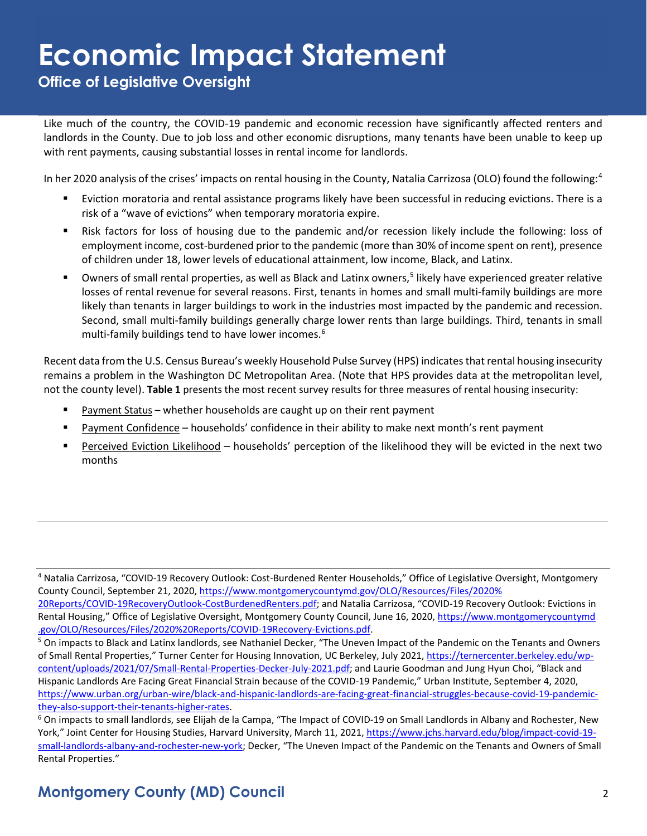**Office of Legislative Oversight**

Like much of the country, the COVID-19 pandemic and economic recession have significantly affected renters and landlords in the County. Due to job loss and other economic disruptions, many tenants have been unable to keep up with rent payments, causing substantial losses in rental income for landlords.

In her 2020 analysis of the crises' impacts on rental housing in the County, Natalia Carrizosa (OLO) found the following:[4](#page-1-0)

- Eviction moratoria and rental assistance programs likely have been successful in reducing evictions. There is a risk of a "wave of evictions" when temporary moratoria expire.
- Risk factors for loss of housing due to the pandemic and/or recession likely include the following: loss of employment income, cost-burdened prior to the pandemic (more than 30% of income spent on rent), presence of children under 18, lower levels of educational attainment, low income, Black, and Latinx.
- Owners of small rental properties, as well as Black and Latinx owners,<sup>[5](#page-1-1)</sup> likely have experienced greater relative losses of rental revenue for several reasons. First, tenants in homes and small multi-family buildings are more likely than tenants in larger buildings to work in the industries most impacted by the pandemic and recession. Second, small multi-family buildings generally charge lower rents than large buildings. Third, tenants in small multi-family buildings tend to have lower incomes. [6](#page-1-2)

Recent data from the U.S. Census Bureau's weekly Household Pulse Survey (HPS) indicates that rental housing insecurity remains a problem in the Washington DC Metropolitan Area. (Note that HPS provides data at the metropolitan level, not the county level). **Table 1** presents the most recent survey results for three measures of rental housing insecurity:

- **Payment Status whether households are caught up on their rent payment**
- Payment Confidence households' confidence in their ability to make next month's rent payment
- Perceived Eviction Likelihood households' perception of the likelihood they will be evicted in the next two months

<span id="page-1-0"></span><sup>4</sup> Natalia Carrizosa, "COVID-19 Recovery Outlook: Cost-Burdened Renter Households," Office of Legislative Oversight, Montgomery County Council, September 21, 2020, [https://www.montgomerycountymd.gov/OLO/Resources/Files/2020%](https://www.montgomerycountymd.gov/OLO/Resources/Files/2020%20Reports/COVID-19RecoveryOutlook-CostBurdenedRenters.pdf) [20Reports/COVID-19RecoveryOutlook-CostBurdenedRenters.pdf;](https://www.montgomerycountymd.gov/OLO/Resources/Files/2020%20Reports/COVID-19RecoveryOutlook-CostBurdenedRenters.pdf) and Natalia Carrizosa, "COVID-19 Recovery Outlook: Evictions in Rental Housing," Office of Legislative Oversight, Montgomery County Council, June 16, 2020, [https://www.montgomerycountymd](https://www.montgomerycountymd.gov/OLO/Resources/Files/2020%20Reports/COVID-19Recovery-Evictions.pdf)

<span id="page-1-1"></span>[<sup>.</sup>gov/OLO/Resources/Files/2020%20Reports/COVID-19Recovery-Evictions.pdf.](https://www.montgomerycountymd.gov/OLO/Resources/Files/2020%20Reports/COVID-19Recovery-Evictions.pdf)<br><sup>5</sup> On impacts to Black and Latinx landlords, see Nathaniel Decker, "The Uneven Impact of the Pandemic on the Tenants and Owners of Small Rental Properties," Turner Center for Housing Innovation, UC Berkeley, July 2021, [https://ternercenter.berkeley.edu/wp](https://ternercenter.berkeley.edu/wp-content/uploads/2021/07/Small-Rental-Properties-Decker-July-2021.pdf)[content/uploads/2021/07/Small-Rental-Properties-Decker-July-2021.pdf;](https://ternercenter.berkeley.edu/wp-content/uploads/2021/07/Small-Rental-Properties-Decker-July-2021.pdf) and Laurie Goodman and Jung Hyun Choi, "Black and Hispanic Landlords Are Facing Great Financial Strain because of the COVID-19 Pandemic," Urban Institute, September 4, 2020, [https://www.urban.org/urban-wire/black-and-hispanic-landlords-are-facing-great-financial-struggles-because-covid-19-pandemic](https://www.urban.org/urban-wire/black-and-hispanic-landlords-are-facing-great-financial-struggles-because-covid-19-pandemic-they-also-support-their-tenants-higher-rates)they-also-support-their-tenants-higher-rates.<br><sup>6</sup> On impacts to small landlords, see Elijah de la Campa, "The Impact of COVID-19 on Small Landlords in Albany and Rochester, New

<span id="page-1-2"></span>York," Joint Center for Housing Studies, Harvard University, March 11, 2021, [https://www.jchs.harvard.edu/blog/impact-covid-19](https://www.jchs.harvard.edu/blog/impact-covid-19-small-landlords-albany-and-rochester-new-york) [small-landlords-albany-and-rochester-new-york;](https://www.jchs.harvard.edu/blog/impact-covid-19-small-landlords-albany-and-rochester-new-york) Decker, "The Uneven Impact of the Pandemic on the Tenants and Owners of Small Rental Properties."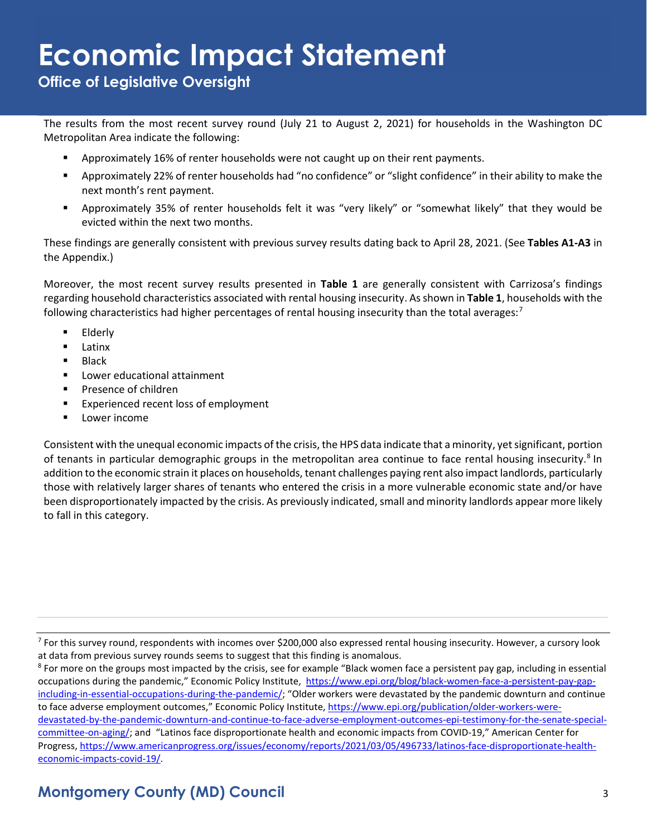**Office of Legislative Oversight**

The results from the most recent survey round (July 21 to August 2, 2021) for households in the Washington DC Metropolitan Area indicate the following:

- Approximately 16% of renter households were not caught up on their rent payments.
- Approximately 22% of renter households had "no confidence" or "slight confidence" in their ability to make the next month's rent payment.
- Approximately 35% of renter households felt it was "very likely" or "somewhat likely" that they would be evicted within the next two months.

These findings are generally consistent with previous survey results dating back to April 28, 2021. (See **Tables A1-A3** in the Appendix.)

Moreover, the most recent survey results presented in **Table 1** are generally consistent with Carrizosa's findings regarding household characteristics associated with rental housing insecurity. As shown in **Table 1**, households with the following characteristics had higher percentages of rental housing insecurity than the total averages: $7$ 

- **Elderly**
- **Latinx**
- $\blacksquare$  Black
- **EXTED LOWER Educational attainment**
- **Presence of children**
- **Experienced recent loss of employment**
- **Lower income**

Consistent with the unequal economic impacts of the crisis, the HPS data indicate that a minority, yet significant, portion of tenants in particular demographic groups in the metropolitan area continue to face rental housing insecurity.<sup>8</sup> In addition to the economic strain it places on households, tenant challenges paying rent also impact landlords, particularly those with relatively larger shares of tenants who entered the crisis in a more vulnerable economic state and/or have been disproportionately impacted by the crisis. As previously indicated, small and minority landlords appear more likely to fall in this category.

<span id="page-2-0"></span> $7$  For this survey round, respondents with incomes over \$200,000 also expressed rental housing insecurity. However, a cursory look at data from previous survey rounds seems to suggest that this finding is anomalous.<br><sup>8</sup> For more on the groups most impacted by the crisis, see for example "Black women face a persistent pay gap, including in essential

<span id="page-2-1"></span>occupations during the pandemic," Economic Policy Institute, [https://www.epi.org/blog/black-women-face-a-persistent-pay-gap](https://www.epi.org/blog/black-women-face-a-persistent-pay-gap-including-in-essential-occupations-during-the-pandemic/)[including-in-essential-occupations-during-the-pandemic/;](https://www.epi.org/blog/black-women-face-a-persistent-pay-gap-including-in-essential-occupations-during-the-pandemic/) "Older workers were devastated by the pandemic downturn and continue to face adverse employment outcomes," Economic Policy Institute[, https://www.epi.org/publication/older-workers-were](https://www.epi.org/publication/older-workers-were-devastated-by-the-pandemic-downturn-and-continue-to-face-adverse-employment-outcomes-epi-testimony-for-the-senate-special-committee-on-aging/)[devastated-by-the-pandemic-downturn-and-continue-to-face-adverse-employment-outcomes-epi-testimony-for-the-senate-special](https://www.epi.org/publication/older-workers-were-devastated-by-the-pandemic-downturn-and-continue-to-face-adverse-employment-outcomes-epi-testimony-for-the-senate-special-committee-on-aging/)[committee-on-aging/;](https://www.epi.org/publication/older-workers-were-devastated-by-the-pandemic-downturn-and-continue-to-face-adverse-employment-outcomes-epi-testimony-for-the-senate-special-committee-on-aging/) and "Latinos face disproportionate health and economic impacts from COVID-19," American Center for Progress[, https://www.americanprogress.org/issues/economy/reports/2021/03/05/496733/latinos-face-disproportionate-health](https://www.americanprogress.org/issues/economy/reports/2021/03/05/496733/latinos-face-disproportionate-health-economic-impacts-covid-19/)[economic-impacts-covid-19/.](https://www.americanprogress.org/issues/economy/reports/2021/03/05/496733/latinos-face-disproportionate-health-economic-impacts-covid-19/)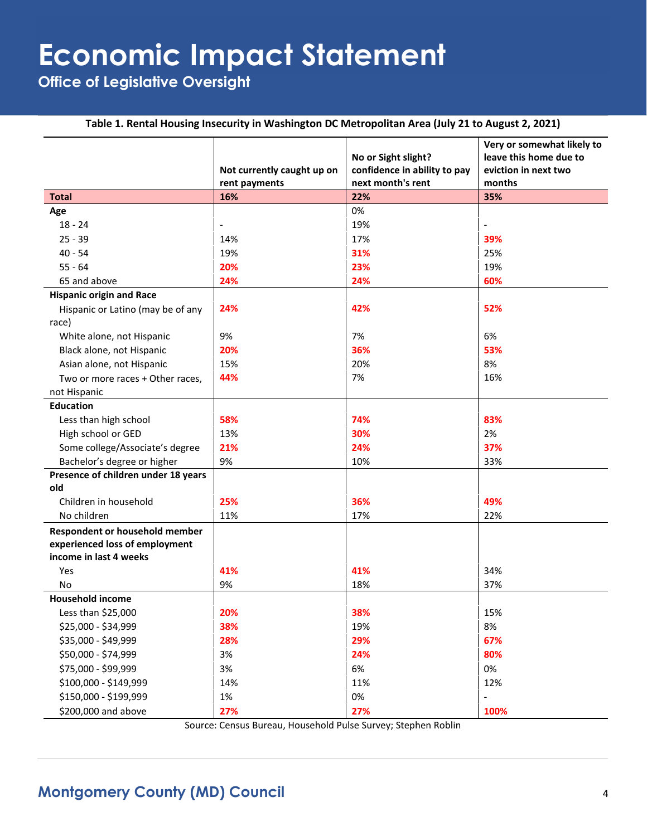**Office of Legislative Oversight**

#### **Table 1. Rental Housing Insecurity in Washington DC Metropolitan Area (July 21 to August 2, 2021)**

|                                     |                            |                              | Very or somewhat likely to |
|-------------------------------------|----------------------------|------------------------------|----------------------------|
|                                     |                            | No or Sight slight?          | leave this home due to     |
|                                     | Not currently caught up on | confidence in ability to pay | eviction in next two       |
|                                     | rent payments              | next month's rent            | months                     |
| <b>Total</b>                        | 16%                        | 22%                          | 35%                        |
| Age                                 |                            | 0%                           |                            |
| $18 - 24$                           | $\overline{\phantom{a}}$   | 19%                          | $\overline{\phantom{0}}$   |
| $25 - 39$                           | 14%                        | 17%                          | 39%                        |
| $40 - 54$                           | 19%                        | 31%                          | 25%                        |
| $55 - 64$                           | 20%                        | 23%                          | 19%                        |
| 65 and above                        | 24%                        | 24%                          | 60%                        |
| <b>Hispanic origin and Race</b>     |                            |                              |                            |
| Hispanic or Latino (may be of any   | 24%                        | 42%                          | 52%                        |
| race)                               |                            |                              |                            |
| White alone, not Hispanic           | 9%                         | 7%                           | 6%                         |
| Black alone, not Hispanic           | 20%                        | 36%                          | 53%                        |
| Asian alone, not Hispanic           | 15%                        | 20%                          | 8%                         |
| Two or more races + Other races,    | 44%                        | 7%                           | 16%                        |
| not Hispanic                        |                            |                              |                            |
| <b>Education</b>                    |                            |                              |                            |
| Less than high school               | 58%                        | 74%                          | 83%                        |
| High school or GED                  | 13%                        | 30%                          | 2%                         |
| Some college/Associate's degree     | 21%                        | 24%                          | 37%                        |
| Bachelor's degree or higher         | 9%                         | 10%                          | 33%                        |
| Presence of children under 18 years |                            |                              |                            |
| old                                 |                            |                              |                            |
| Children in household               | 25%                        | 36%                          | 49%                        |
| No children                         | 11%                        | 17%                          | 22%                        |
| Respondent or household member      |                            |                              |                            |
| experienced loss of employment      |                            |                              |                            |
| income in last 4 weeks              |                            |                              |                            |
| Yes                                 | 41%                        | 41%                          | 34%                        |
| No                                  | 9%                         | 18%                          | 37%                        |
| <b>Household income</b>             |                            |                              |                            |
| Less than \$25,000                  | 20%                        | 38%                          | 15%                        |
| \$25,000 - \$34,999                 | 38%                        | 19%                          | 8%                         |
| \$35,000 - \$49,999                 | 28%                        | 29%                          | 67%                        |
| \$50,000 - \$74,999                 | 3%                         | 24%                          | 80%                        |
| \$75,000 - \$99,999                 | 3%                         | 6%                           | 0%                         |
| \$100,000 - \$149,999               | 14%                        | 11%                          | 12%                        |
| \$150,000 - \$199,999               | $1\%$                      | 0%                           |                            |
| \$200,000 and above                 | 27%                        | 27%                          | 100%                       |

Source: Census Bureau, Household Pulse Survey; Stephen Roblin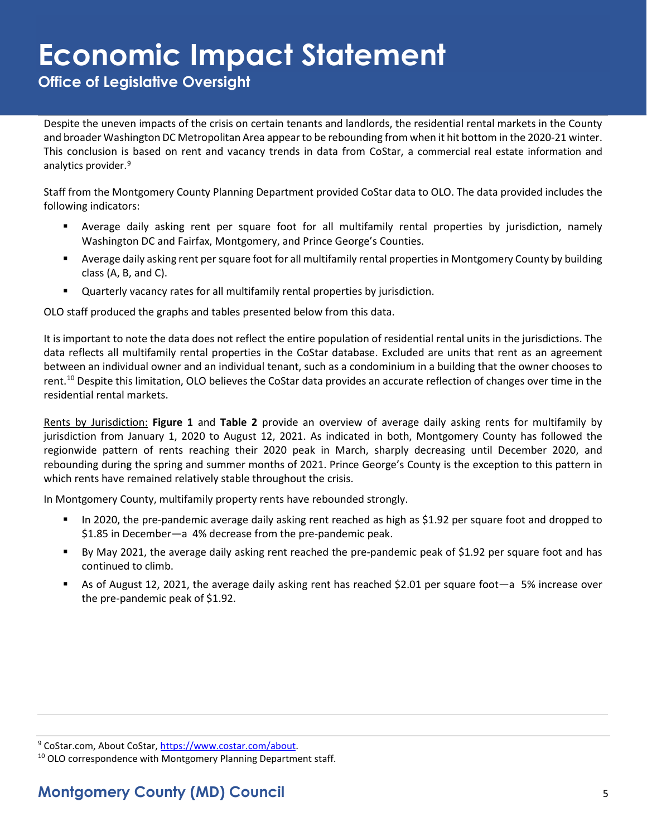**Office of Legislative Oversight**

Despite the uneven impacts of the crisis on certain tenants and landlords, the residential rental markets in the County and broader Washington DC Metropolitan Area appear to be rebounding from when it hit bottom in the 2020-21 winter. This conclusion is based on rent and vacancy trends in data from CoStar, a commercial real estate information and analytics provider. [9](#page-4-0)

Staff from the Montgomery County Planning Department provided CoStar data to OLO. The data provided includes the following indicators:

- Average daily asking rent per square foot for all multifamily rental properties by jurisdiction, namely Washington DC and Fairfax, Montgomery, and Prince George's Counties.
- Average daily asking rent per square foot for all multifamily rental propertiesin Montgomery County by building class (A, B, and C).
- Quarterly vacancy rates for all multifamily rental properties by jurisdiction.

OLO staff produced the graphs and tables presented below from this data.

It is important to note the data does not reflect the entire population of residential rental units in the jurisdictions. The data reflects all multifamily rental properties in the CoStar database. Excluded are units that rent as an agreement between an individual owner and an individual tenant, such as a condominium in a building that the owner chooses to rent.<sup>10</sup> Despite this limitation, OLO believes the CoStar data provides an accurate reflection of changes over time in the residential rental markets.

Rents by Jurisdiction: **Figure 1** and **Table 2** provide an overview of average daily asking rents for multifamily by jurisdiction from January 1, 2020 to August 12, 2021. As indicated in both, Montgomery County has followed the regionwide pattern of rents reaching their 2020 peak in March, sharply decreasing until December 2020, and rebounding during the spring and summer months of 2021. Prince George's County is the exception to this pattern in which rents have remained relatively stable throughout the crisis.

In Montgomery County, multifamily property rents have rebounded strongly.

- In 2020, the pre-pandemic average daily asking rent reached as high as \$1.92 per square foot and dropped to \$1.85 in December—a 4% decrease from the pre-pandemic peak.
- By May 2021, the average daily asking rent reached the pre-pandemic peak of \$1.92 per square foot and has continued to climb.
- As of August 12, 2021, the average daily asking rent has reached \$2.01 per square foot—a 5% increase over the pre-pandemic peak of \$1.92.

<span id="page-4-1"></span>

<span id="page-4-0"></span><sup>&</sup>lt;sup>9</sup> CoStar.com, About CoStar, [https://www.costar.com/about.](https://www.costar.com/about)<br><sup>10</sup> OLO correspondence with Montgomery Planning Department staff.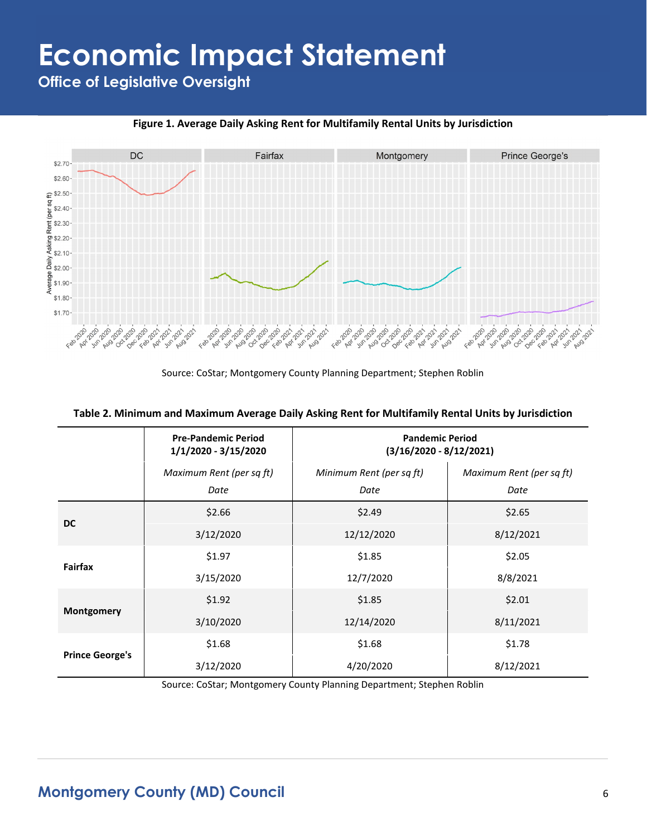**Office of Legislative Oversight**



**Figure 1. Average Daily Asking Rent for Multifamily Rental Units by Jurisdiction**

Source: CoStar; Montgomery County Planning Department; Stephen Roblin

|                        | <b>Pre-Pandemic Period</b><br>1/1/2020 - 3/15/2020 | <b>Pandemic Period</b><br>$(3/16/2020 - 8/12/2021)$ |                                  |  |
|------------------------|----------------------------------------------------|-----------------------------------------------------|----------------------------------|--|
|                        | Maximum Rent (per sq ft)<br>Date                   | Minimum Rent (per sq ft)<br>Date                    | Maximum Rent (per sq ft)<br>Date |  |
| <b>DC</b>              | \$2.66                                             | \$2.49                                              | \$2.65                           |  |
|                        | 3/12/2020                                          | 12/12/2020                                          | 8/12/2021                        |  |
|                        | \$1.97                                             | \$1.85                                              | \$2.05                           |  |
| Fairfax                | 3/15/2020                                          | 12/7/2020                                           | 8/8/2021                         |  |
|                        | \$1.92                                             | \$1.85                                              | \$2.01                           |  |
| Montgomery             | 3/10/2020                                          | 12/14/2020                                          | 8/11/2021                        |  |
|                        | \$1.68                                             | \$1.68                                              | \$1.78                           |  |
| <b>Prince George's</b> | 3/12/2020                                          | 4/20/2020                                           | 8/12/2021                        |  |

**Table 2. Minimum and Maximum Average Daily Asking Rent for Multifamily Rental Units by Jurisdiction**

Source: CoStar; Montgomery County Planning Department; Stephen Roblin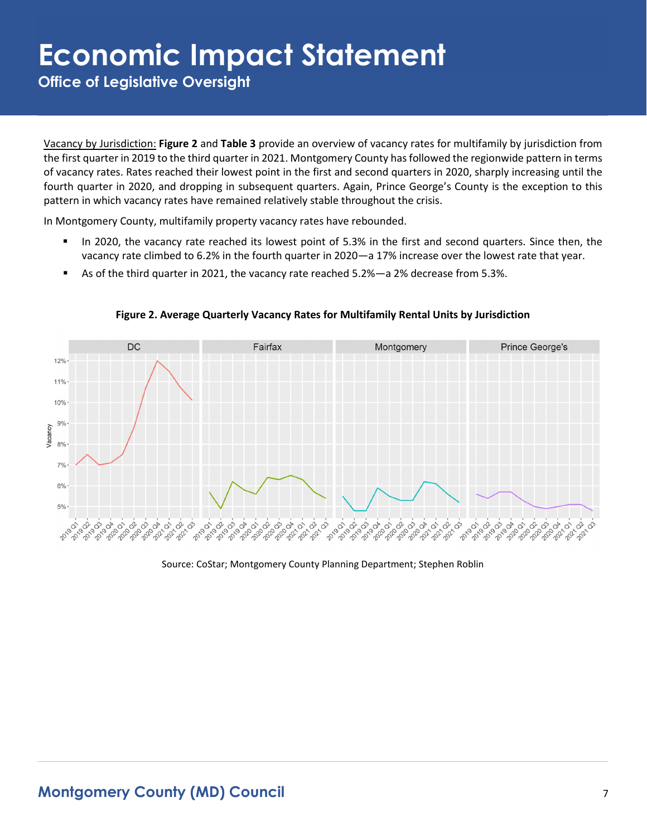**Office of Legislative Oversight**

Vacancy by Jurisdiction: **Figure 2** and **Table 3** provide an overview of vacancy rates for multifamily by jurisdiction from the first quarter in 2019 to the third quarter in 2021. Montgomery County has followed the regionwide pattern in terms of vacancy rates. Rates reached their lowest point in the first and second quarters in 2020, sharply increasing until the fourth quarter in 2020, and dropping in subsequent quarters. Again, Prince George's County is the exception to this pattern in which vacancy rates have remained relatively stable throughout the crisis.

In Montgomery County, multifamily property vacancy rates have rebounded.

- In 2020, the vacancy rate reached its lowest point of 5.3% in the first and second quarters. Since then, the vacancy rate climbed to 6.2% in the fourth quarter in 2020—a 17% increase over the lowest rate that year.
- As of the third quarter in 2021, the vacancy rate reached 5.2%—a 2% decrease from 5.3%.



**Figure 2. Average Quarterly Vacancy Rates for Multifamily Rental Units by Jurisdiction**

Source: CoStar; Montgomery County Planning Department; Stephen Roblin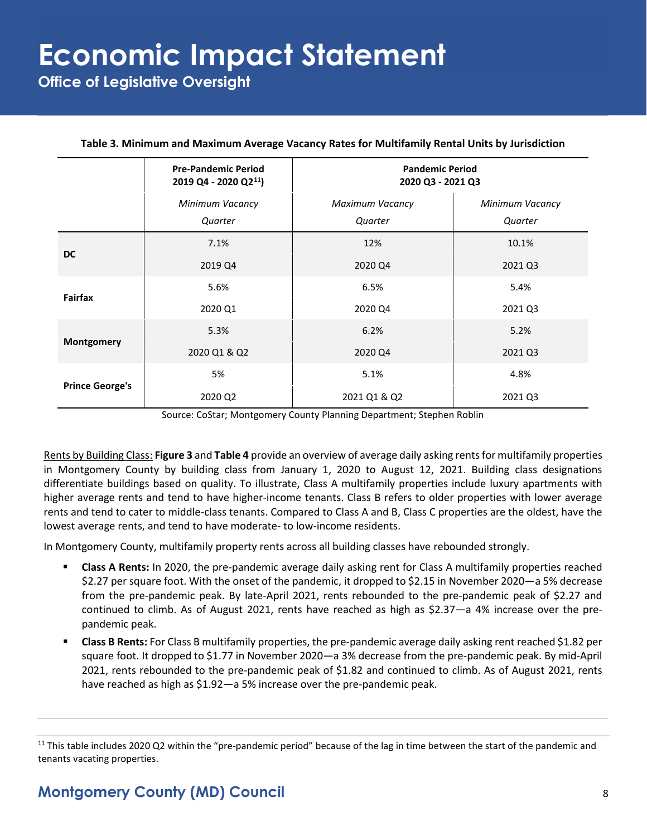**Office of Legislative Oversight**

|                        | <b>Pre-Pandemic Period</b><br>2019 Q4 - 2020 Q2 <sup>11</sup> ) | <b>Pandemic Period</b><br>2020 Q3 - 2021 Q3 |                            |  |
|------------------------|-----------------------------------------------------------------|---------------------------------------------|----------------------------|--|
|                        | Minimum Vacancy<br>Quarter                                      | Maximum Vacancy<br>Quarter                  | Minimum Vacancy<br>Quarter |  |
| <b>DC</b>              | 7.1%                                                            | 12%                                         | 10.1%                      |  |
|                        | 2019 Q4                                                         | 2020 Q4                                     | 2021 Q3                    |  |
| Fairfax                | 5.6%                                                            | 6.5%                                        | 5.4%                       |  |
|                        | 2020 Q1                                                         | 2020 Q4                                     | 2021 Q3                    |  |
|                        | 5.3%                                                            | 6.2%                                        | 5.2%                       |  |
| Montgomery             | 2020 Q1 & Q2                                                    | 2020 Q4                                     | 2021 Q3                    |  |
|                        | 5%                                                              | 5.1%                                        | 4.8%                       |  |
| <b>Prince George's</b> | 2020 Q2                                                         | 2021 Q1 & Q2                                | 2021 Q3                    |  |

#### **Table 3. Minimum and Maximum Average Vacancy Rates for Multifamily Rental Units by Jurisdiction**

Source: CoStar; Montgomery County Planning Department; Stephen Roblin

Rents by Building Class: **Figure 3** and **Table 4** provide an overview of average daily asking rents for multifamily properties in Montgomery County by building class from January 1, 2020 to August 12, 2021. Building class designations differentiate buildings based on quality. To illustrate, Class A multifamily properties include luxury apartments with higher average rents and tend to have higher-income tenants. Class B refers to older properties with lower average rents and tend to cater to middle-class tenants. Compared to Class A and B, Class C properties are the oldest, have the lowest average rents, and tend to have moderate- to low-income residents.

In Montgomery County, multifamily property rents across all building classes have rebounded strongly.

- **Class A Rents:** In 2020, the pre-pandemic average daily asking rent for Class A multifamily properties reached \$2.27 per square foot. With the onset of the pandemic, it dropped to \$2.15 in November 2020—a 5% decrease from the pre-pandemic peak. By late-April 2021, rents rebounded to the pre-pandemic peak of \$2.27 and continued to climb. As of August 2021, rents have reached as high as \$2.37—a 4% increase over the prepandemic peak.
- **Class B Rents:** For Class B multifamily properties, the pre-pandemic average daily asking rent reached \$1.82 per square foot. It dropped to \$1.77 in November 2020—a 3% decrease from the pre-pandemic peak. By mid-April 2021, rents rebounded to the pre-pandemic peak of \$1.82 and continued to climb. As of August 2021, rents have reached as high as \$1.92—a 5% increase over the pre-pandemic peak.

<span id="page-7-0"></span> $11$  This table includes 2020 Q2 within the "pre-pandemic period" because of the lag in time between the start of the pandemic and tenants vacating properties.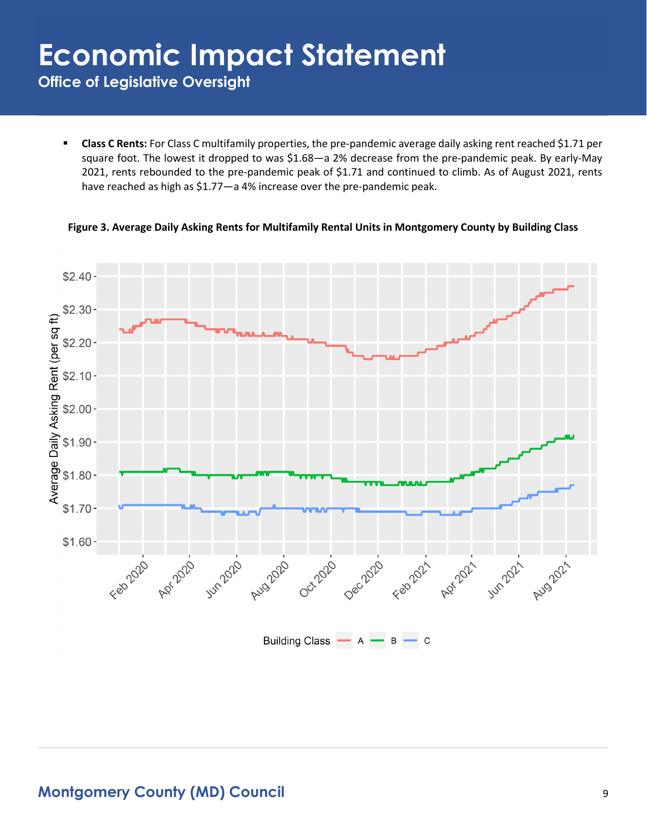**Office of Legislative Oversight**

 **Class C Rents:** For Class C multifamily properties, the pre-pandemic average daily asking rent reached \$1.71 per square foot. The lowest it dropped to was \$1.68—a 2% decrease from the pre-pandemic peak. By early-May 2021, rents rebounded to the pre-pandemic peak of \$1.71 and continued to climb. As of August 2021, rents have reached as high as \$1.77—a 4% increase over the pre-pandemic peak.

**Figure 3. Average Daily Asking Rents for Multifamily Rental Units in Montgomery County by Building Class**

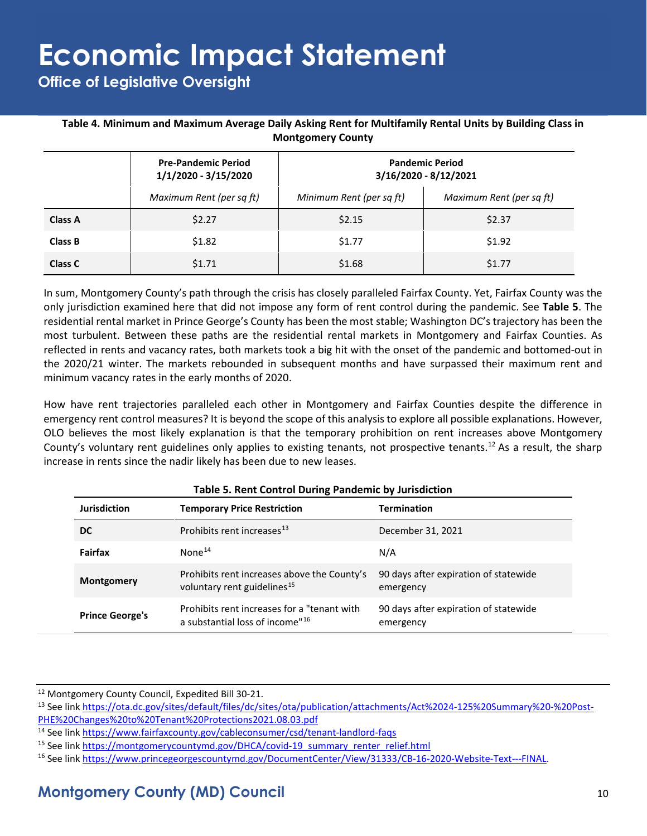**Office of Legislative Oversight**

#### **Table 4. Minimum and Maximum Average Daily Asking Rent for Multifamily Rental Units by Building Class in Montgomery County**

|                | <b>Pre-Pandemic Period</b><br>1/1/2020 - 3/15/2020 | <b>Pandemic Period</b><br>3/16/2020 - 8/12/2021 |                          |  |
|----------------|----------------------------------------------------|-------------------------------------------------|--------------------------|--|
|                | Maximum Rent (per sq ft)                           | Minimum Rent (per sq ft)                        | Maximum Rent (per sq ft) |  |
| Class A        | \$2.27                                             | \$2.15                                          | \$2.37                   |  |
| Class B        | \$1.82                                             | \$1.77                                          | \$1.92                   |  |
| <b>Class C</b> | \$1.71                                             | \$1.68                                          | \$1.77                   |  |

In sum, Montgomery County's path through the crisis has closely paralleled Fairfax County. Yet, Fairfax County was the only jurisdiction examined here that did not impose any form of rent control during the pandemic. See **Table 5**. The residential rental market in Prince George's County has been the most stable; Washington DC's trajectory has been the most turbulent. Between these paths are the residential rental markets in Montgomery and Fairfax Counties. As reflected in rents and vacancy rates, both markets took a big hit with the onset of the pandemic and bottomed-out in the 2020/21 winter. The markets rebounded in subsequent months and have surpassed their maximum rent and minimum vacancy rates in the early months of 2020.

How have rent trajectories paralleled each other in Montgomery and Fairfax Counties despite the difference in emergency rent control measures? It is beyond the scope of this analysis to explore all possible explanations. However, OLO believes the most likely explanation is that the temporary prohibition on rent increases above Montgomery County's voluntary rent guidelines only applies to existing tenants, not prospective tenants.<sup>[12](#page-9-0)</sup> As a result, the sharp increase in rents since the nadir likely has been due to new leases.

| <b>Jurisdiction</b>    | <b>Temporary Price Restriction</b>                                                          | <b>Termination</b>                                 |
|------------------------|---------------------------------------------------------------------------------------------|----------------------------------------------------|
| DC.                    | Prohibits rent increases <sup>13</sup>                                                      | December 31, 2021                                  |
| Fairfax                | None <sup>14</sup>                                                                          | N/A                                                |
| Montgomery             | Prohibits rent increases above the County's<br>voluntary rent guidelines <sup>15</sup>      | 90 days after expiration of statewide<br>emergency |
| <b>Prince George's</b> | Prohibits rent increases for a "tenant with"<br>a substantial loss of income" <sup>16</sup> | 90 days after expiration of statewide<br>emergency |

<span id="page-9-1"></span><span id="page-9-0"></span><sup>&</sup>lt;sup>12</sup> Montgomery County Council, Expedited Bill 30-21.<br><sup>13</sup> See link [https://ota.dc.gov/sites/default/files/dc/sites/ota/publication/attachments/Act%2024-125%20Summary%20-%20Post-](https://ota.dc.gov/sites/default/files/dc/sites/ota/publication/attachments/Act%2024-125%20Summary%20-%20Post-PHE%20Changes%20to%20Tenant%20Protections2021.08.03.pdf)[PHE%20Changes%20to%20Tenant%20Protections2021.08.03.pdf](https://ota.dc.gov/sites/default/files/dc/sites/ota/publication/attachments/Act%2024-125%20Summary%20-%20Post-PHE%20Changes%20to%20Tenant%20Protections2021.08.03.pdf)

<span id="page-9-2"></span><sup>14</sup> See link<https://www.fairfaxcounty.gov/cableconsumer/csd/tenant-landlord-faqs>

<span id="page-9-3"></span><sup>&</sup>lt;sup>15</sup> See link [https://montgomerycountymd.gov/DHCA/covid-19\\_summary\\_renter\\_relief.html](https://montgomerycountymd.gov/DHCA/covid-19_summary_renter_relief.html)

<span id="page-9-4"></span><sup>16</sup> See link [https://www.princegeorgescountymd.gov/DocumentCenter/View/31333/CB-16-2020-Website-Text---FINAL.](https://www.princegeorgescountymd.gov/DocumentCenter/View/31333/CB-16-2020-Website-Text---FINAL)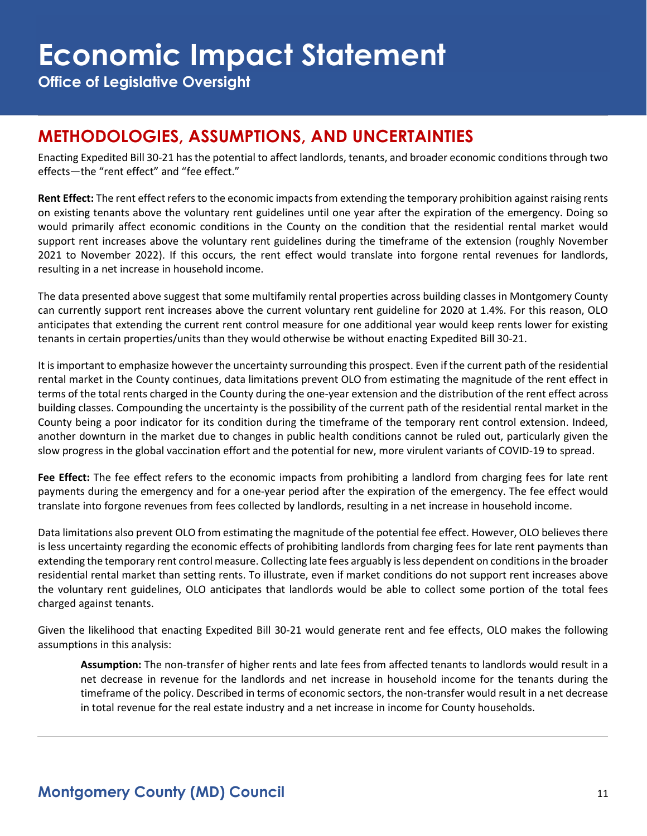**Office of Legislative Oversight**

### **METHODOLOGIES, ASSUMPTIONS, AND UNCERTAINTIES**

Enacting Expedited Bill 30-21 has the potential to affect landlords, tenants, and broader economic conditions through two effects—the "rent effect" and "fee effect."

**Rent Effect:** The rent effect refers to the economic impacts from extending the temporary prohibition against raising rents on existing tenants above the voluntary rent guidelines until one year after the expiration of the emergency. Doing so would primarily affect economic conditions in the County on the condition that the residential rental market would support rent increases above the voluntary rent guidelines during the timeframe of the extension (roughly November 2021 to November 2022). If this occurs, the rent effect would translate into forgone rental revenues for landlords, resulting in a net increase in household income.

The data presented above suggest that some multifamily rental properties across building classes in Montgomery County can currently support rent increases above the current voluntary rent guideline for 2020 at 1.4%. For this reason, OLO anticipates that extending the current rent control measure for one additional year would keep rents lower for existing tenants in certain properties/units than they would otherwise be without enacting Expedited Bill 30-21.

It is important to emphasize however the uncertainty surrounding this prospect. Even if the current path of the residential rental market in the County continues, data limitations prevent OLO from estimating the magnitude of the rent effect in terms of the total rents charged in the County during the one-year extension and the distribution of the rent effect across building classes. Compounding the uncertainty is the possibility of the current path of the residential rental market in the County being a poor indicator for its condition during the timeframe of the temporary rent control extension. Indeed, another downturn in the market due to changes in public health conditions cannot be ruled out, particularly given the slow progress in the global vaccination effort and the potential for new, more virulent variants of COVID-19 to spread.

**Fee Effect:** The fee effect refers to the economic impacts from prohibiting a landlord from charging fees for late rent payments during the emergency and for a one-year period after the expiration of the emergency. The fee effect would translate into forgone revenues from fees collected by landlords, resulting in a net increase in household income.

Data limitations also prevent OLO from estimating the magnitude of the potential fee effect. However, OLO believes there is less uncertainty regarding the economic effects of prohibiting landlords from charging fees for late rent payments than extending the temporary rent control measure. Collecting late fees arguably is less dependent on conditions in the broader residential rental market than setting rents. To illustrate, even if market conditions do not support rent increases above the voluntary rent guidelines, OLO anticipates that landlords would be able to collect some portion of the total fees charged against tenants.

Given the likelihood that enacting Expedited Bill 30-21 would generate rent and fee effects, OLO makes the following assumptions in this analysis:

**Assumption:** The non-transfer of higher rents and late fees from affected tenants to landlords would result in a net decrease in revenue for the landlords and net increase in household income for the tenants during the timeframe of the policy. Described in terms of economic sectors, the non-transfer would result in a net decrease in total revenue for the real estate industry and a net increase in income for County households.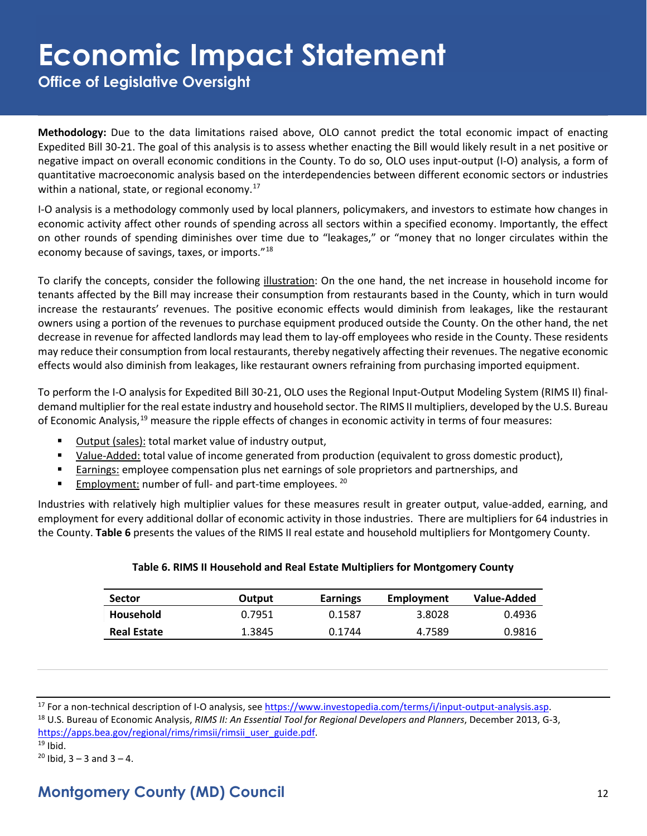**Office of Legislative Oversight**

**Methodology:** Due to the data limitations raised above, OLO cannot predict the total economic impact of enacting Expedited Bill 30-21. The goal of this analysis is to assess whether enacting the Bill would likely result in a net positive or negative impact on overall economic conditions in the County. To do so, OLO uses input-output (I-O) analysis, a form of quantitative macroeconomic analysis based on the interdependencies between different economic sectors or industries within a national, state, or regional economy.<sup>17</sup>

I-O analysis is a methodology commonly used by local planners, policymakers, and investors to estimate how changes in economic activity affect other rounds of spending across all sectors within a specified economy. Importantly, the effect on other rounds of spending diminishes over time due to "leakages," or "money that no longer circulates within the economy because of savings, taxes, or imports."[18](#page-11-1)

To clarify the concepts, consider the following illustration: On the one hand, the net increase in household income for tenants affected by the Bill may increase their consumption from restaurants based in the County, which in turn would increase the restaurants' revenues. The positive economic effects would diminish from leakages, like the restaurant owners using a portion of the revenues to purchase equipment produced outside the County. On the other hand, the net decrease in revenue for affected landlords may lead them to lay-off employees who reside in the County. These residents may reduce their consumption from local restaurants, thereby negatively affecting their revenues. The negative economic effects would also diminish from leakages, like restaurant owners refraining from purchasing imported equipment.

To perform the I-O analysis for Expedited Bill 30-21, OLO uses the Regional Input-Output Modeling System (RIMS II) finaldemand multiplier for the real estate industry and household sector. The RIMS II multipliers, developed by the U.S. Bureau of Economic Analysis,<sup>[19](#page-11-2)</sup> measure the ripple effects of changes in economic activity in terms of four measures:

- Output (sales): total market value of industry output,
- Value-Added: total value of income generated from production (equivalent to gross domestic product),
- **Earnings: employee compensation plus net earnings of sole proprietors and partnerships, and**
- Employment: number of full- and part-time employees. <sup>[20](#page-11-3)</sup>

Industries with relatively high multiplier values for these measures result in greater output, value-added, earning, and employment for every additional dollar of economic activity in those industries. There are multipliers for 64 industries in the County. **Table 6** presents the values of the RIMS II real estate and household multipliers for Montgomery County.

|  |  |  | Table 6. RIMS II Household and Real Estate Multipliers for Montgomery County |  |
|--|--|--|------------------------------------------------------------------------------|--|
|  |  |  |                                                                              |  |

| <b>Sector</b>      | Output | <b>Earnings</b> | Employment | Value-Added |
|--------------------|--------|-----------------|------------|-------------|
| <b>Household</b>   | 0.7951 | 0.1587          | 3.8028     | 0.4936      |
| <b>Real Estate</b> | 1.3845 | 0.1744          | 4.7589     | 0.9816      |

<span id="page-11-0"></span><sup>17</sup> For a non-technical description of I-O analysis, see [https://www.investopedia.com/terms/i/input-output-analysis.asp.](https://www.investopedia.com/terms/i/input-output-analysis.asp)<br><sup>18</sup> U.S. Bureau of Economic Analysis, *RIMS II: An Essential Tool for Regional Developers and Plann* 

<span id="page-11-1"></span>[https://apps.bea.gov/regional/rims/rimsii/rimsii\\_user\\_guide.pdf.](https://apps.bea.gov/regional/rims/rimsii/rimsii_user_guide.pdf)

<span id="page-11-2"></span>

<span id="page-11-3"></span><sup>19</sup> Ibid.<br><sup>20</sup> Ibid,  $3 - 3$  and  $3 - 4$ .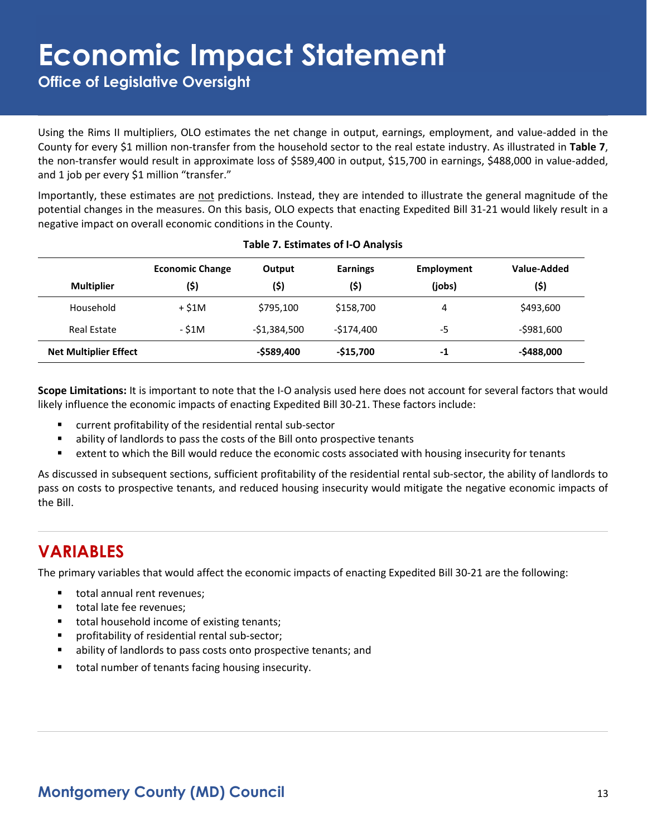**Office of Legislative Oversight**

Using the Rims II multipliers, OLO estimates the net change in output, earnings, employment, and value-added in the County for every \$1 million non-transfer from the household sector to the real estate industry. As illustrated in **Table 7**, the non-transfer would result in approximate loss of \$589,400 in output, \$15,700 in earnings, \$488,000 in value-added, and 1 job per every \$1 million "transfer."

Importantly, these estimates are not predictions. Instead, they are intended to illustrate the general magnitude of the potential changes in the measures. On this basis, OLO expects that enacting Expedited Bill 31-21 would likely result in a negative impact on overall economic conditions in the County.

|                              | <b>Economic Change</b> | Output        | <b>Earnings</b> | Employment | Value-Added   |
|------------------------------|------------------------|---------------|-----------------|------------|---------------|
| <b>Multiplier</b>            | (\$)                   | (5)           | (\$)            | (jobs)     | (\$)          |
| Household                    | + \$1M                 | \$795,100     | \$158,700       | 4          | \$493,600     |
| <b>Real Estate</b>           | - \$1M                 | $-$1,384,500$ | $-5174.400$     | -5         | $-5981,600$   |
| <b>Net Multiplier Effect</b> |                        | $-$ \$589,400 | $-515,700$      | -1         | $-$ \$488,000 |

#### **Table 7. Estimates of I-O Analysis**

**Scope Limitations:** It is important to note that the I-O analysis used here does not account for several factors that would likely influence the economic impacts of enacting Expedited Bill 30-21. These factors include:

- current profitability of the residential rental sub-sector
- ability of landlords to pass the costs of the Bill onto prospective tenants
- extent to which the Bill would reduce the economic costs associated with housing insecurity for tenants

As discussed in subsequent sections, sufficient profitability of the residential rental sub-sector, the ability of landlords to pass on costs to prospective tenants, and reduced housing insecurity would mitigate the negative economic impacts of the Bill.

### **VARIABLES**

The primary variables that would affect the economic impacts of enacting Expedited Bill 30-21 are the following:

- total annual rent revenues;
- total late fee revenues:
- **total household income of existing tenants;**
- profitability of residential rental sub-sector;
- ability of landlords to pass costs onto prospective tenants; and
- total number of tenants facing housing insecurity.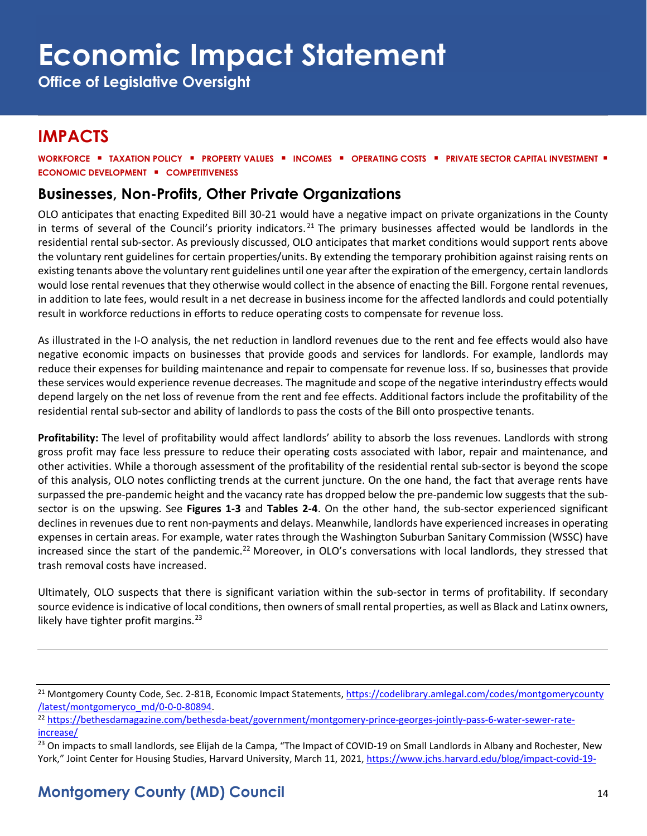**Office of Legislative Oversight**

### **IMPACTS**

**WORKFORCE** ▪ **TAXATION POLICY** ▪ **PROPERTY VALUES** ▪ **INCOMES** ▪ **OPERATING COSTS** ▪ **PRIVATE SECTOR CAPITAL INVESTMENT** ▪ **ECONOMIC DEVELOPMENT** ▪ **COMPETITIVENESS**

#### **Businesses, Non-Profits, Other Private Organizations**

OLO anticipates that enacting Expedited Bill 30-21 would have a negative impact on private organizations in the County in terms of several of the Council's priority indicators.<sup>[21](#page-13-0)</sup> The primary businesses affected would be landlords in the residential rental sub-sector. As previously discussed, OLO anticipates that market conditions would support rents above the voluntary rent guidelines for certain properties/units. By extending the temporary prohibition against raising rents on existing tenants above the voluntary rent guidelines until one year after the expiration of the emergency, certain landlords would lose rental revenues that they otherwise would collect in the absence of enacting the Bill. Forgone rental revenues, in addition to late fees, would result in a net decrease in business income for the affected landlords and could potentially result in workforce reductions in efforts to reduce operating costs to compensate for revenue loss.

As illustrated in the I-O analysis, the net reduction in landlord revenues due to the rent and fee effects would also have negative economic impacts on businesses that provide goods and services for landlords. For example, landlords may reduce their expenses for building maintenance and repair to compensate for revenue loss. If so, businesses that provide these services would experience revenue decreases. The magnitude and scope of the negative interindustry effects would depend largely on the net loss of revenue from the rent and fee effects. Additional factors include the profitability of the residential rental sub-sector and ability of landlords to pass the costs of the Bill onto prospective tenants.

**Profitability:** The level of profitability would affect landlords' ability to absorb the loss revenues. Landlords with strong gross profit may face less pressure to reduce their operating costs associated with labor, repair and maintenance, and other activities. While a thorough assessment of the profitability of the residential rental sub-sector is beyond the scope of this analysis, OLO notes conflicting trends at the current juncture. On the one hand, the fact that average rents have surpassed the pre-pandemic height and the vacancy rate has dropped below the pre-pandemic low suggests that the subsector is on the upswing. See **Figures 1-3** and **Tables 2-4**. On the other hand, the sub-sector experienced significant declines in revenues due to rent non-payments and delays. Meanwhile, landlords have experienced increases in operating expenses in certain areas. For example, water rates through the Washington Suburban Sanitary Commission (WSSC) have increased since the start of the pandemic.<sup>[22](#page-13-1)</sup> Moreover, in OLO's conversations with local landlords, they stressed that trash removal costs have increased.

Ultimately, OLO suspects that there is significant variation within the sub-sector in terms of profitability. If secondary source evidence is indicative of local conditions, then owners of small rental properties, as well as Black and Latinx owners, likely have tighter profit margins. $^{23}$  $^{23}$  $^{23}$ 

<span id="page-13-0"></span><sup>&</sup>lt;sup>21</sup> Montgomery County Code, Sec. 2-81B, Economic Impact Statements, [https://codelibrary.amlegal.com/codes/montgomerycounty](https://codelibrary.amlegal.com/codes/montgomerycounty/latest/montgomeryco_md/0-0-0-80894)<br>/latest/montgomeryco md/0-0-0-80894.

<span id="page-13-1"></span><sup>&</sup>lt;sup>22</sup> [https://bethesdamagazine.com/bethesda-beat/government/montgomery-prince-georges-jointly-pass-6-water-sewer-rate](https://bethesdamagazine.com/bethesda-beat/government/montgomery-prince-georges-jointly-pass-6-water-sewer-rate-increase/)[increase/](https://bethesdamagazine.com/bethesda-beat/government/montgomery-prince-georges-jointly-pass-6-water-sewer-rate-increase/)

<span id="page-13-2"></span><sup>&</sup>lt;sup>23</sup> On impacts to small landlords, see Elijah de la Campa, "The Impact of COVID-19 on Small Landlords in Albany and Rochester, New York," Joint Center for Housing Studies, Harvard University, March 11, 2021, [https://www.jchs.harvard.edu/blog/impact-covid-19-](https://www.jchs.harvard.edu/blog/impact-covid-19-small-landlords-albany-and-rochester-new-york)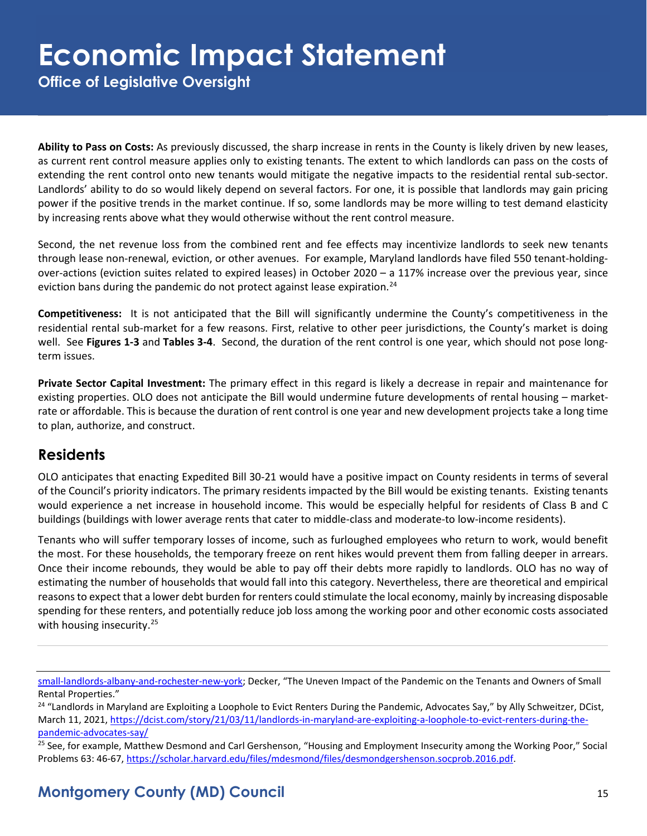**Office of Legislative Oversight**

**Ability to Pass on Costs:** As previously discussed, the sharp increase in rents in the County is likely driven by new leases, as current rent control measure applies only to existing tenants. The extent to which landlords can pass on the costs of extending the rent control onto new tenants would mitigate the negative impacts to the residential rental sub-sector. Landlords' ability to do so would likely depend on several factors. For one, it is possible that landlords may gain pricing power if the positive trends in the market continue. If so, some landlords may be more willing to test demand elasticity by increasing rents above what they would otherwise without the rent control measure.

Second, the net revenue loss from the combined rent and fee effects may incentivize landlords to seek new tenants through lease non-renewal, eviction, or other avenues. For example, Maryland landlords have filed 550 tenant-holdingover-actions (eviction suites related to expired leases) in October 2020 – a 117% increase over the previous year, since eviction bans during the pandemic do not protect against lease expiration.<sup>24</sup>

**Competitiveness:** It is not anticipated that the Bill will significantly undermine the County's competitiveness in the residential rental sub-market for a few reasons. First, relative to other peer jurisdictions, the County's market is doing well. See **Figures 1-3** and **Tables 3-4**. Second, the duration of the rent control is one year, which should not pose longterm issues.

**Private Sector Capital Investment:** The primary effect in this regard is likely a decrease in repair and maintenance for existing properties. OLO does not anticipate the Bill would undermine future developments of rental housing – marketrate or affordable. This is because the duration of rent control is one year and new development projects take a long time to plan, authorize, and construct.

#### **Residents**

OLO anticipates that enacting Expedited Bill 30-21 would have a positive impact on County residents in terms of several of the Council's priority indicators. The primary residents impacted by the Bill would be existing tenants. Existing tenants would experience a net increase in household income. This would be especially helpful for residents of Class B and C buildings (buildings with lower average rents that cater to middle-class and moderate-to low-income residents).

Tenants who will suffer temporary losses of income, such as furloughed employees who return to work, would benefit the most. For these households, the temporary freeze on rent hikes would prevent them from falling deeper in arrears. Once their income rebounds, they would be able to pay off their debts more rapidly to landlords. OLO has no way of estimating the number of households that would fall into this category. Nevertheless, there are theoretical and empirical reasons to expect that a lower debt burden for renters could stimulate the local economy, mainly by increasing disposable spending for these renters, and potentially reduce job loss among the working poor and other economic costs associated with housing insecurity.<sup>[25](#page-14-1)</sup>

[small-landlords-albany-and-rochester-new-york;](https://www.jchs.harvard.edu/blog/impact-covid-19-small-landlords-albany-and-rochester-new-york) Decker, "The Uneven Impact of the Pandemic on the Tenants and Owners of Small Rental Properties."

<span id="page-14-0"></span><sup>&</sup>lt;sup>24</sup> "Landlords in Maryland are Exploiting a Loophole to Evict Renters During the Pandemic, Advocates Say," by Ally Schweitzer, DCist, March 11, 2021[, https://dcist.com/story/21/03/11/landlords-in-maryland-are-exploiting-a-loophole-to-evict-renters-during-the](https://dcist.com/story/21/03/11/landlords-in-maryland-are-exploiting-a-loophole-to-evict-renters-during-the-pandemic-advocates-say/)[pandemic-advocates-say/](https://dcist.com/story/21/03/11/landlords-in-maryland-are-exploiting-a-loophole-to-evict-renters-during-the-pandemic-advocates-say/)

<span id="page-14-1"></span><sup>&</sup>lt;sup>25</sup> See, for example, Matthew Desmond and Carl Gershenson, "Housing and Employment Insecurity among the Working Poor," Social Problems 63: 46-67, [https://scholar.harvard.edu/files/mdesmond/files/desmondgershenson.socprob.2016.pdf.](https://scholar.harvard.edu/files/mdesmond/files/desmondgershenson.socprob.2016.pdf)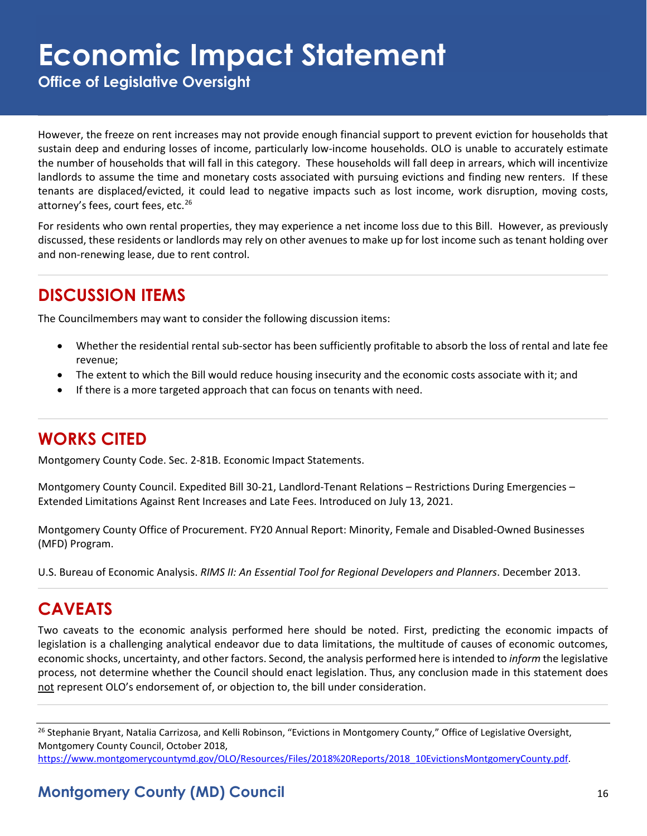**Office of Legislative Oversight**

However, the freeze on rent increases may not provide enough financial support to prevent eviction for households that sustain deep and enduring losses of income, particularly low-income households. OLO is unable to accurately estimate the number of households that will fall in this category. These households will fall deep in arrears, which will incentivize landlords to assume the time and monetary costs associated with pursuing evictions and finding new renters. If these tenants are displaced/evicted, it could lead to negative impacts such as lost income, work disruption, moving costs, attorney's fees, court fees, etc.<sup>26</sup>

For residents who own rental properties, they may experience a net income loss due to this Bill. However, as previously discussed, these residents or landlords may rely on other avenues to make up for lost income such as tenant holding over and non-renewing lease, due to rent control.

### **DISCUSSION ITEMS**

The Councilmembers may want to consider the following discussion items:

- Whether the residential rental sub-sector has been sufficiently profitable to absorb the loss of rental and late fee revenue;
- The extent to which the Bill would reduce housing insecurity and the economic costs associate with it; and
- If there is a more targeted approach that can focus on tenants with need.

### **WORKS CITED**

Montgomery County Code. Sec. 2-81B. Economic Impact Statements.

Montgomery County Council. Expedited Bill 30-21, Landlord-Tenant Relations – Restrictions During Emergencies – Extended Limitations Against Rent Increases and Late Fees. Introduced on July 13, 2021.

Montgomery County Office of Procurement. FY20 Annual Report: Minority, Female and Disabled-Owned Businesses (MFD) Program.

U.S. Bureau of Economic Analysis. *RIMS II: An Essential Tool for Regional Developers and Planners*. December 2013.

#### **CAVEATS**

Two caveats to the economic analysis performed here should be noted. First, predicting the economic impacts of legislation is a challenging analytical endeavor due to data limitations, the multitude of causes of economic outcomes, economic shocks, uncertainty, and other factors. Second, the analysis performed here is intended to *inform* the legislative process, not determine whether the Council should enact legislation. Thus, any conclusion made in this statement does not represent OLO's endorsement of, or objection to, the bill under consideration.

<span id="page-15-0"></span><sup>26</sup> Stephanie Bryant, Natalia Carrizosa, and Kelli Robinson, "Evictions in Montgomery County," Office of Legislative Oversight, Montgomery County Council, October 2018,

[https://www.montgomerycountymd.gov/OLO/Resources/Files/2018%20Reports/2018\\_10EvictionsMontgomeryCounty.pdf.](https://www.montgomerycountymd.gov/OLO/Resources/Files/2018%20Reports/2018_10EvictionsMontgomeryCounty.pdf)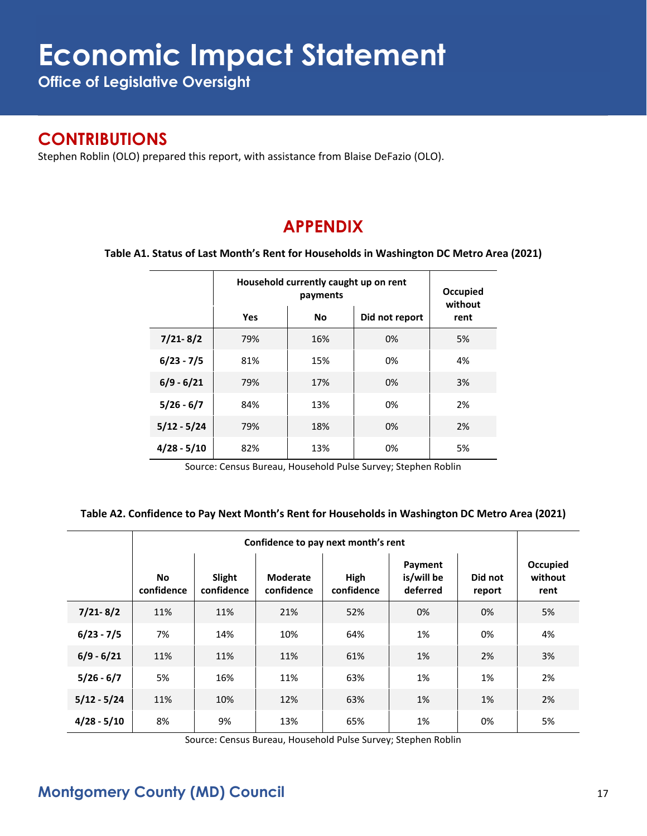**Office of Legislative Oversight**

#### **CONTRIBUTIONS**

Stephen Roblin (OLO) prepared this report, with assistance from Blaise DeFazio (OLO).

### **APPENDIX**

**Table A1. Status of Last Month's Rent for Households in Washington DC Metro Area (2021)**

|               | Household currently caught up on rent | Occupied<br>without |      |    |
|---------------|---------------------------------------|---------------------|------|----|
|               | Yes                                   | <b>No</b>           | rent |    |
| $7/21 - 8/2$  | 79%                                   | 16%                 | 0%   | 5% |
| $6/23 - 7/5$  | 81%                                   | 15%                 | 0%   | 4% |
| $6/9 - 6/21$  | 79%                                   | 17%                 | 0%   | 3% |
| $5/26 - 6/7$  | 84%                                   | 13%                 | 0%   | 2% |
| $5/12 - 5/24$ | 79%                                   | 18%                 | 0%   | 2% |
| $4/28 - 5/10$ | 82%                                   | 13%                 | 0%   | 5% |

Source: Census Bureau, Household Pulse Survey; Stephen Roblin

#### **Table A2. Confidence to Pay Next Month's Rent for Households in Washington DC Metro Area (2021)**

|               | Confidence to pay next month's rent |                      |                               |                    |                                   |                   |                             |
|---------------|-------------------------------------|----------------------|-------------------------------|--------------------|-----------------------------------|-------------------|-----------------------------|
|               | <b>No</b><br>confidence             | Slight<br>confidence | <b>Moderate</b><br>confidence | High<br>confidence | Payment<br>is/will be<br>deferred | Did not<br>report | Occupied<br>without<br>rent |
| $7/21 - 8/2$  | 11%                                 | 11%                  | 21%                           | 52%                | 0%                                | 0%                | 5%                          |
| $6/23 - 7/5$  | 7%                                  | 14%                  | 10%                           | 64%                | 1%                                | 0%                | 4%                          |
| $6/9 - 6/21$  | 11%                                 | 11%                  | 11%                           | 61%                | 1%                                | 2%                | 3%                          |
| $5/26 - 6/7$  | 5%                                  | 16%                  | 11%                           | 63%                | 1%                                | 1%                | 2%                          |
| $5/12 - 5/24$ | 11%                                 | 10%                  | 12%                           | 63%                | 1%                                | 1%                | 2%                          |
| $4/28 - 5/10$ | 8%                                  | 9%                   | 13%                           | 65%                | 1%                                | 0%                | 5%                          |

Source: Census Bureau, Household Pulse Survey; Stephen Roblin